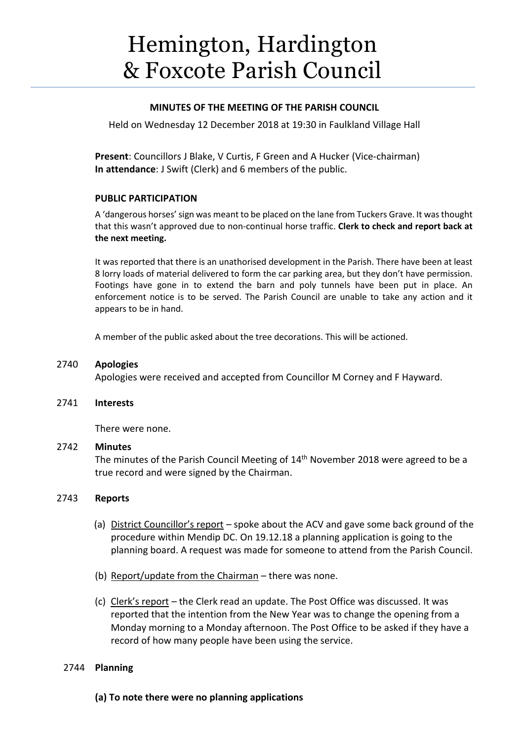# Hemington, Hardington & Foxcote Parish Council

# **MINUTES OF THE MEETING OF THE PARISH COUNCIL**

Held on Wednesday 12 December 2018 at 19:30 in Faulkland Village Hall

**Present**: Councillors J Blake, V Curtis, F Green and A Hucker (Vice-chairman) **In attendance**: J Swift (Clerk) and 6 members of the public.

# **PUBLIC PARTICIPATION**

A 'dangerous horses' sign was meant to be placed on the lane from Tuckers Grave. It wasthought that this wasn't approved due to non-continual horse traffic. **Clerk to check and report back at the next meeting.**

It was reported that there is an unathorised development in the Parish. There have been at least 8 lorry loads of material delivered to form the car parking area, but they don't have permission. Footings have gone in to extend the barn and poly tunnels have been put in place. An enforcement notice is to be served. The Parish Council are unable to take any action and it appears to be in hand.

A member of the public asked about the tree decorations. This will be actioned.

# 2740 **Apologies**

Apologies were received and accepted from Councillor M Corney and F Hayward.

# 2741 **Interests**

There were none.

# 2742 **Minutes**

The minutes of the Parish Council Meeting of 14<sup>th</sup> November 2018 were agreed to be a true record and were signed by the Chairman.

# 2743 **Reports**

- (a) District Councillor's report spoke about the ACV and gave some back ground of the procedure within Mendip DC. On 19.12.18 a planning application is going to the planning board. A request was made for someone to attend from the Parish Council.
- (b) Report/update from the Chairman there was none.
- (c) Clerk's report the Clerk read an update. The Post Office was discussed. It was reported that the intention from the New Year was to change the opening from a Monday morning to a Monday afternoon. The Post Office to be asked if they have a record of how many people have been using the service.

# 2744 **Planning**

**(a) To note there were no planning applications**